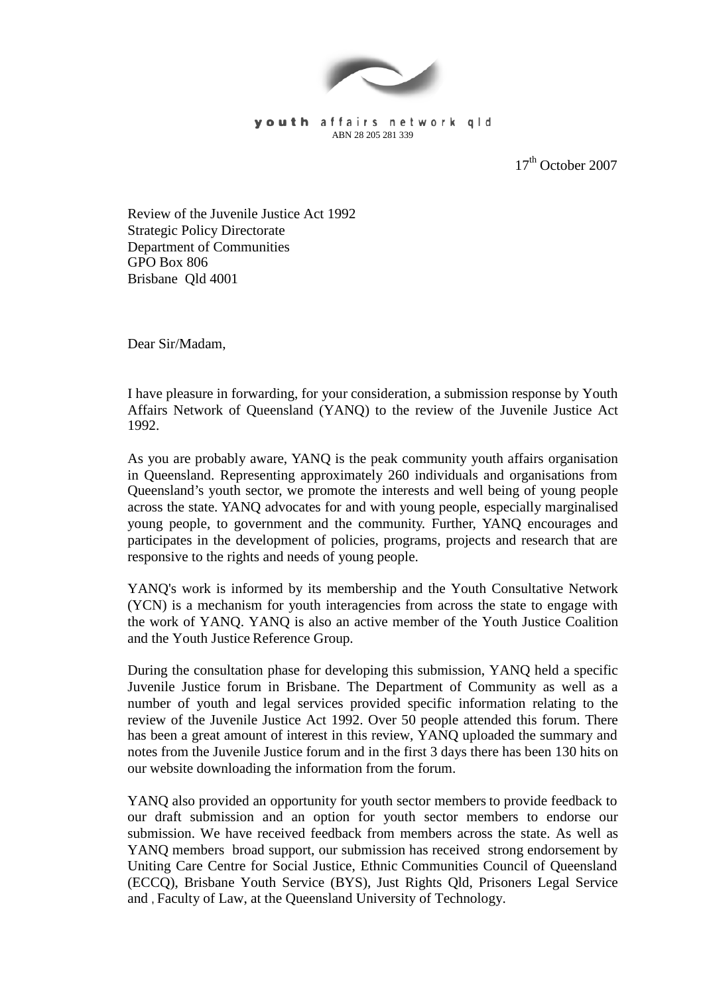

youth affairs network gld ABN 28 205 281 339

17<sup>th</sup> October 2007

Review of the Juvenile Justice Act 1992 Strategic Policy Directorate Department of Communities GPO Box 806 Brisbane Qld 4001

Dear Sir/Madam,

I have pleasure in forwarding, for your consideration, a submission response by Youth Affairs Network of Queensland (YANQ) to the review of the Juvenile Justice Act 1992.

As you are probably aware, YANQ is the peak community youth affairs organisation in Queensland. Representing approximately 260 individuals and organisations from Queensland's youth sector, we promote the interests and well being of young people across the state. YANQ advocates for and with young people, especially marginalised young people, to government and the community. Further, YANQ encourages and participates in the development of policies, programs, projects and research that are responsive to the rights and needs of young people.

YANQ's work is informed by its membership and the Youth Consultative Network (YCN) is a mechanism for youth interagencies from across the state to engage with the work of YANQ. YANQ is also an active member of the Youth Justice Coalition and the Youth Justice Reference Group.

During the consultation phase for developing this submission, YANQ held a specific Juvenile Justice forum in Brisbane. The Department of Community as well as a number of youth and legal services provided specific information relating to the review of the Juvenile Justice Act 1992. Over 50 people attended this forum. There has been a great amount of interest in this review, YANQ uploaded the summary and notes from the Juvenile Justice forum and in the first 3 days there has been 130 hits on our website downloading the information from the forum.

YANQ also provided an opportunity for youth sector members to provide feedback to our draft submission and an option for youth sector members to endorse our submission. We have received feedback from members across the state. As well as YANQ members broad support, our submission has received strong endorsement by Uniting Care Centre for Social Justice, Ethnic Communities Council of Queensland (ECCQ), Brisbane Youth Service (BYS), Just Rights Qld, Prisoners Legal Service and , Faculty of Law, at the Queensland University of Technology.